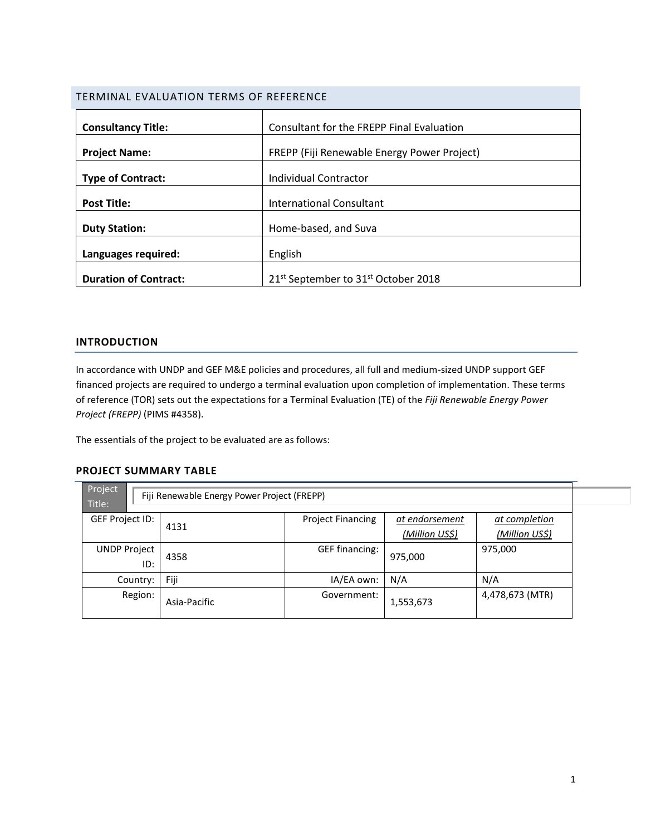# TERMINAL EVALUATION TERMS OF REFERENCE

| <b>Consultancy Title:</b>    | Consultant for the FREPP Final Evaluation                   |
|------------------------------|-------------------------------------------------------------|
|                              |                                                             |
| <b>Project Name:</b>         | FREPP (Fiji Renewable Energy Power Project)                 |
|                              |                                                             |
| <b>Type of Contract:</b>     | Individual Contractor                                       |
|                              |                                                             |
| <b>Post Title:</b>           | <b>International Consultant</b>                             |
|                              |                                                             |
| <b>Duty Station:</b>         | Home-based, and Suva                                        |
|                              |                                                             |
| Languages required:          | English                                                     |
|                              |                                                             |
| <b>Duration of Contract:</b> | 21 <sup>st</sup> September to 31 <sup>st</sup> October 2018 |

# **INTRODUCTION**

In accordance with UNDP and GEF M&E policies and procedures, all full and medium-sized UNDP support GEF financed projects are required to undergo a terminal evaluation upon completion of implementation. These terms of reference (TOR) sets out the expectations for a Terminal Evaluation (TE) of the *Fiji Renewable Energy Power Project (FREPP)* (PIMS #4358).

The essentials of the project to be evaluated are as follows:

## **PROJECT SUMMARY TABLE**

| Project<br>Fiji Renewable Energy Power Project (FREPP)<br>Title: |              |                          |                                  |                                 |
|------------------------------------------------------------------|--------------|--------------------------|----------------------------------|---------------------------------|
| GEF Project ID:                                                  | 4131         | <b>Project Financing</b> | at endorsement<br>(Million US\$) | at completion<br>(Million US\$) |
| <b>UNDP Project</b><br>ID:                                       | 4358         | <b>GEF financing:</b>    | 975,000                          | 975,000                         |
| Country:                                                         | Fiji         | IA/EA own:               | N/A                              | N/A                             |
| Region:                                                          | Asia-Pacific | Government:              | 1,553,673                        | 4,478,673 (MTR)                 |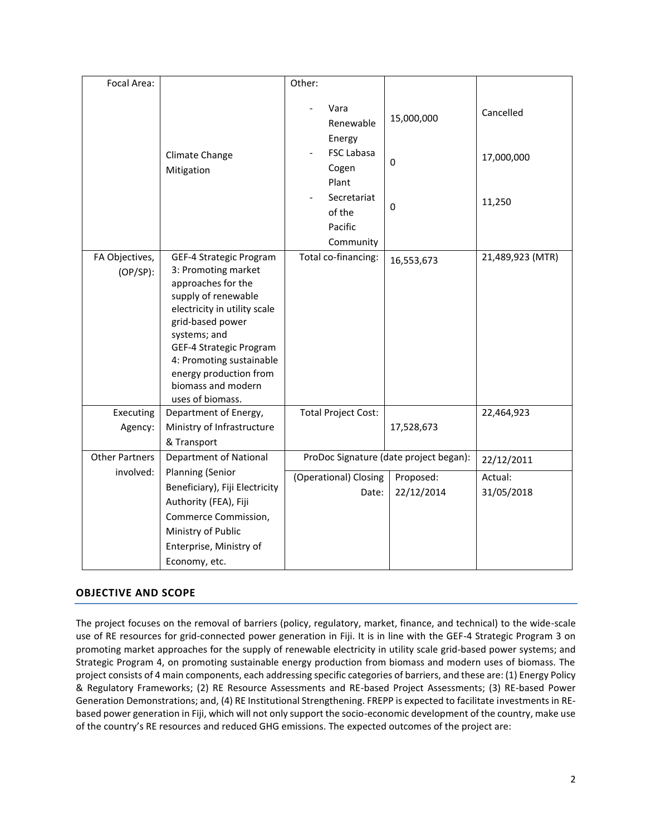| Focal Area:           |                                  | Other:                                        |                                        |                  |
|-----------------------|----------------------------------|-----------------------------------------------|----------------------------------------|------------------|
|                       |                                  | Vara<br>Renewable                             | 15,000,000                             | Cancelled        |
|                       | Climate Change<br>Mitigation     | Energy<br><b>FSC Labasa</b><br>Cogen<br>Plant | 0                                      | 17,000,000       |
|                       |                                  | Secretariat<br>of the<br>Pacific              | 0                                      | 11,250           |
|                       |                                  | Community                                     |                                        |                  |
| FA Objectives,        | GEF-4 Strategic Program          | Total co-financing:                           | 16,553,673                             | 21,489,923 (MTR) |
| $(OP/SP)$ :           | 3: Promoting market              |                                               |                                        |                  |
|                       | approaches for the               |                                               |                                        |                  |
|                       | supply of renewable              |                                               |                                        |                  |
|                       | electricity in utility scale     |                                               |                                        |                  |
|                       | grid-based power<br>systems; and |                                               |                                        |                  |
|                       | GEF-4 Strategic Program          |                                               |                                        |                  |
|                       | 4: Promoting sustainable         |                                               |                                        |                  |
|                       | energy production from           |                                               |                                        |                  |
|                       | biomass and modern               |                                               |                                        |                  |
|                       | uses of biomass.                 |                                               |                                        |                  |
| Executing             | Department of Energy,            | <b>Total Project Cost:</b>                    |                                        | 22,464,923       |
| Agency:               | Ministry of Infrastructure       |                                               | 17,528,673                             |                  |
|                       | & Transport                      |                                               |                                        |                  |
| <b>Other Partners</b> | Department of National           |                                               | ProDoc Signature (date project began): | 22/12/2011       |
| involved:             | Planning (Senior                 |                                               |                                        |                  |
|                       | Beneficiary), Fiji Electricity   | (Operational) Closing                         | Proposed:                              | Actual:          |
|                       |                                  | Date:                                         | 22/12/2014                             | 31/05/2018       |
|                       | Authority (FEA), Fiji            |                                               |                                        |                  |
|                       | Commerce Commission,             |                                               |                                        |                  |
|                       | Ministry of Public               |                                               |                                        |                  |
|                       | Enterprise, Ministry of          |                                               |                                        |                  |
|                       | Economy, etc.                    |                                               |                                        |                  |

# **OBJECTIVE AND SCOPE**

The project focuses on the removal of barriers (policy, regulatory, market, finance, and technical) to the wide-scale use of RE resources for grid-connected power generation in Fiji. It is in line with the GEF-4 Strategic Program 3 on promoting market approaches for the supply of renewable electricity in utility scale grid-based power systems; and Strategic Program 4, on promoting sustainable energy production from biomass and modern uses of biomass. The project consists of 4 main components, each addressing specific categories of barriers, and these are: (1) Energy Policy & Regulatory Frameworks; (2) RE Resource Assessments and RE-based Project Assessments; (3) RE-based Power Generation Demonstrations; and, (4) RE Institutional Strengthening. FREPP is expected to facilitate investments in REbased power generation in Fiji, which will not only support the socio-economic development of the country, make use of the country's RE resources and reduced GHG emissions. The expected outcomes of the project are: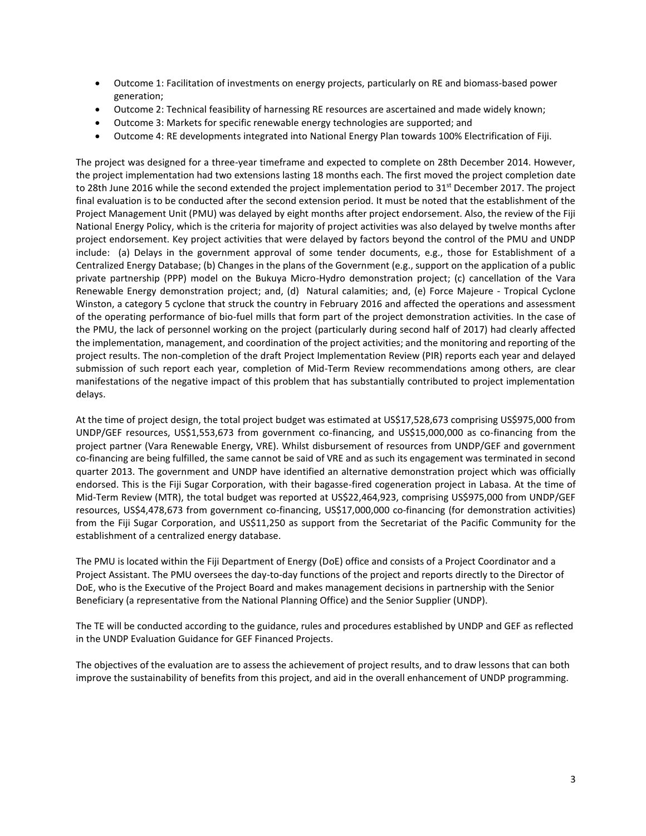- Outcome 1: Facilitation of investments on energy projects, particularly on RE and biomass-based power generation;
- Outcome 2: Technical feasibility of harnessing RE resources are ascertained and made widely known;
- Outcome 3: Markets for specific renewable energy technologies are supported; and
- Outcome 4: RE developments integrated into National Energy Plan towards 100% Electrification of Fiji.

The project was designed for a three-year timeframe and expected to complete on 28th December 2014. However, the project implementation had two extensions lasting 18 months each. The first moved the project completion date to 28th June 2016 while the second extended the project implementation period to 31<sup>st</sup> December 2017. The project final evaluation is to be conducted after the second extension period. It must be noted that the establishment of the Project Management Unit (PMU) was delayed by eight months after project endorsement. Also, the review of the Fiji National Energy Policy, which is the criteria for majority of project activities was also delayed by twelve months after project endorsement. Key project activities that were delayed by factors beyond the control of the PMU and UNDP include: (a) Delays in the government approval of some tender documents, e.g., those for Establishment of a Centralized Energy Database; (b) Changes in the plans of the Government (e.g., support on the application of a public private partnership (PPP) model on the Bukuya Micro-Hydro demonstration project; (c) cancellation of the Vara Renewable Energy demonstration project; and, (d) Natural calamities; and, (e) Force Majeure - Tropical Cyclone Winston, a category 5 cyclone that struck the country in February 2016 and affected the operations and assessment of the operating performance of bio-fuel mills that form part of the project demonstration activities. In the case of the PMU, the lack of personnel working on the project (particularly during second half of 2017) had clearly affected the implementation, management, and coordination of the project activities; and the monitoring and reporting of the project results. The non-completion of the draft Project Implementation Review (PIR) reports each year and delayed submission of such report each year, completion of Mid-Term Review recommendations among others, are clear manifestations of the negative impact of this problem that has substantially contributed to project implementation delays.

At the time of project design, the total project budget was estimated at US\$17,528,673 comprising US\$975,000 from UNDP/GEF resources, US\$1,553,673 from government co-financing, and US\$15,000,000 as co-financing from the project partner (Vara Renewable Energy, VRE). Whilst disbursement of resources from UNDP/GEF and government co-financing are being fulfilled, the same cannot be said of VRE and as such its engagement was terminated in second quarter 2013. The government and UNDP have identified an alternative demonstration project which was officially endorsed. This is the Fiji Sugar Corporation, with their bagasse-fired cogeneration project in Labasa. At the time of Mid-Term Review (MTR), the total budget was reported at US\$22,464,923, comprising US\$975,000 from UNDP/GEF resources, US\$4,478,673 from government co-financing, US\$17,000,000 co-financing (for demonstration activities) from the Fiji Sugar Corporation, and US\$11,250 as support from the Secretariat of the Pacific Community for the establishment of a centralized energy database.

The PMU is located within the Fiji Department of Energy (DoE) office and consists of a Project Coordinator and a Project Assistant. The PMU oversees the day-to-day functions of the project and reports directly to the Director of DoE, who is the Executive of the Project Board and makes management decisions in partnership with the Senior Beneficiary (a representative from the National Planning Office) and the Senior Supplier (UNDP).

The TE will be conducted according to the guidance, rules and procedures established by UNDP and GEF as reflected in the UNDP Evaluation Guidance for GEF Financed Projects.

The objectives of the evaluation are to assess the achievement of project results, and to draw lessons that can both improve the sustainability of benefits from this project, and aid in the overall enhancement of UNDP programming.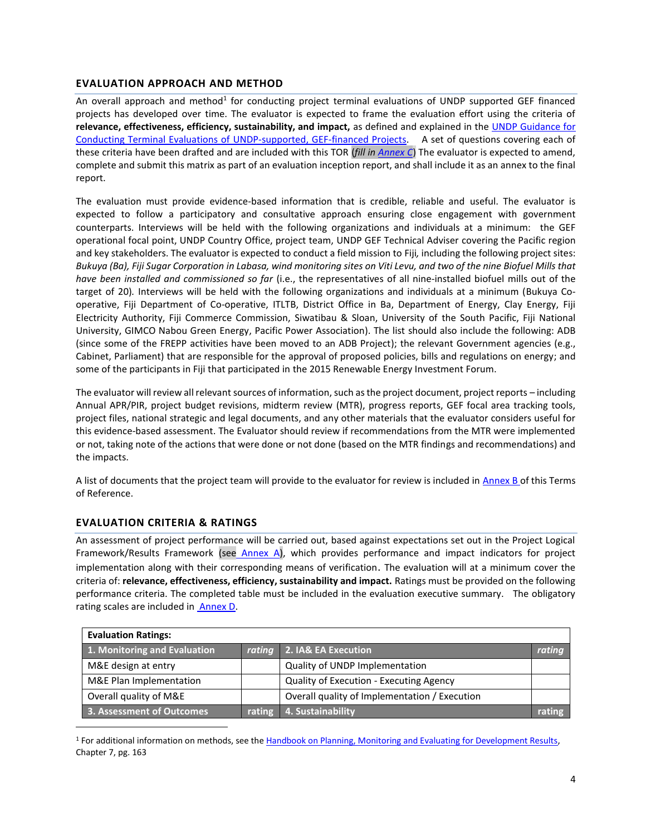# **EVALUATION APPROACH AND METHOD**

An overall approach and method<sup>1</sup> for conducting project terminal evaluations of UNDP supported GEF financed projects has developed over time. The evaluator is expected to frame the evaluation effort using the criteria of **relevance, effectiveness, efficiency, sustainability, and impact,** as defined and explained in the [UNDP Guidance for](http://web.undp.org/evaluation/documents/guidance/GEF/UNDP-GEF-TE-Guide.pdf)  [Conducting Terminal Evaluations of UNDP-supported, GEF-financed Projects.](http://web.undp.org/evaluation/documents/guidance/GEF/UNDP-GEF-TE-Guide.pdf) A set of questions covering each of these criteria have been drafted and are included with this TOR (*fill i[n Annex C](#page-13-0)*) The evaluator is expected to amend, complete and submit this matrix as part of an evaluation inception report, and shall include it as an annex to the final report.

The evaluation must provide evidence‐based information that is credible, reliable and useful. The evaluator is expected to follow a participatory and consultative approach ensuring close engagement with government counterparts. Interviews will be held with the following organizations and individuals at a minimum: the GEF operational focal point, UNDP Country Office, project team, UNDP GEF Technical Adviser covering the Pacific region and key stakeholders. The evaluator is expected to conduct a field mission to Fiji*,* including the following project sites: *Bukuya (Ba), Fiji Sugar Corporation in Labasa, wind monitoring sites on Viti Levu, and two of the nine Biofuel Mills that have been installed and commissioned so far* (i.e., the representatives of all nine-installed biofuel mills out of the target of 20)*.* Interviews will be held with the following organizations and individuals at a minimum (Bukuya Cooperative, Fiji Department of Co-operative, ITLTB, District Office in Ba, Department of Energy, Clay Energy, Fiji Electricity Authority, Fiji Commerce Commission, Siwatibau & Sloan, University of the South Pacific, Fiji National University, GIMCO Nabou Green Energy, Pacific Power Association). The list should also include the following: ADB (since some of the FREPP activities have been moved to an ADB Project); the relevant Government agencies (e.g., Cabinet, Parliament) that are responsible for the approval of proposed policies, bills and regulations on energy; and some of the participants in Fiji that participated in the 2015 Renewable Energy Investment Forum.

The evaluator will review all relevant sources of information, such as the project document, project reports – including Annual APR/PIR, project budget revisions, midterm review (MTR), progress reports, GEF focal area tracking tools, project files, national strategic and legal documents, and any other materials that the evaluator considers useful for this evidence-based assessment. The Evaluator should review if recommendations from the MTR were implemented or not, taking note of the actions that were done or not done (based on the MTR findings and recommendations) and the impacts.

A list of documents that the project team will provide to the evaluator for review is included i[n Annex B](#page-12-0) of this Terms of Reference.

# **EVALUATION CRITERIA & RATINGS**

 $\overline{\phantom{a}}$ 

An assessment of project performance will be carried out, based against expectations set out in the Project Logical Framework/Results Framework (see [Annex A\)](#page-7-0), which provides performance and impact indicators for project implementation along with their corresponding means of verification. The evaluation will at a minimum cover the criteria of: **relevance, effectiveness, efficiency, sustainability and impact.** Ratings must be provided on the following performance criteria. The completed table must be included in the evaluation executive summary. The obligatory rating scales are included in [Annex D.](#page-14-0)

| <b>Evaluation Ratings:</b>   |  |                                               |               |  |  |
|------------------------------|--|-----------------------------------------------|---------------|--|--|
| 1. Monitoring and Evaluation |  | rating 2. IA& EA Execution                    | <b>rating</b> |  |  |
| M&E design at entry          |  | Quality of UNDP Implementation                |               |  |  |
| M&E Plan Implementation      |  | Quality of Execution - Executing Agency       |               |  |  |
| Overall quality of M&E       |  | Overall quality of Implementation / Execution |               |  |  |
| 3. Assessment of Outcomes    |  | rating 4. Sustainability                      | rating        |  |  |

<sup>1</sup> For additional information on methods, see th[e Handbook on Planning, Monitoring and Evaluating for Development Results,](http://www.undp.org/evaluation/handbook) Chapter 7, pg. 163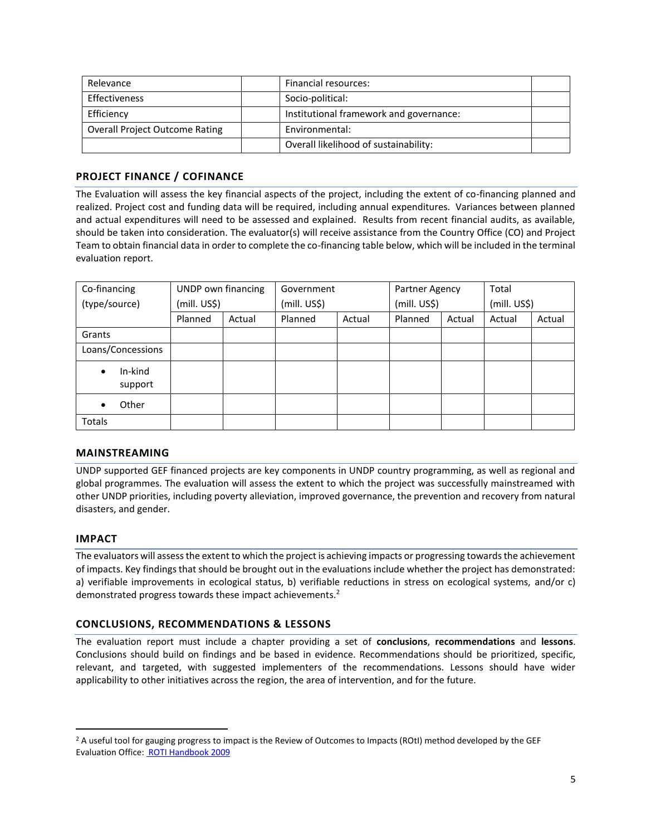| Relevance                      | Financial resources:                    |  |
|--------------------------------|-----------------------------------------|--|
| <b>Effectiveness</b>           | Socio-political:                        |  |
| Efficiency                     | Institutional framework and governance: |  |
| Overall Project Outcome Rating | Environmental:                          |  |
|                                | Overall likelihood of sustainability:   |  |

# **PROJECT FINANCE / COFINANCE**

The Evaluation will assess the key financial aspects of the project, including the extent of co-financing planned and realized. Project cost and funding data will be required, including annual expenditures. Variances between planned and actual expenditures will need to be assessed and explained. Results from recent financial audits, as available, should be taken into consideration. The evaluator(s) will receive assistance from the Country Office (CO) and Project Team to obtain financial data in order to complete the co-financing table below, which will be included in the terminal evaluation report.

| Co-financing                    | UNDP own financing |        | Government   |        | Partner Agency |        | Total        |        |
|---------------------------------|--------------------|--------|--------------|--------|----------------|--------|--------------|--------|
| (type/source)                   | (mill. US\$)       |        | (mill. US\$) |        | (mill. US\$)   |        | (mill. US\$) |        |
|                                 | Planned            | Actual | Planned      | Actual | Planned        | Actual | Actual       | Actual |
| Grants                          |                    |        |              |        |                |        |              |        |
| Loans/Concessions               |                    |        |              |        |                |        |              |        |
| In-kind<br>$\bullet$<br>support |                    |        |              |        |                |        |              |        |
| Other<br>٠                      |                    |        |              |        |                |        |              |        |
| <b>Totals</b>                   |                    |        |              |        |                |        |              |        |

# **MAINSTREAMING**

UNDP supported GEF financed projects are key components in UNDP country programming, as well as regional and global programmes. The evaluation will assess the extent to which the project was successfully mainstreamed with other UNDP priorities, including poverty alleviation, improved governance, the prevention and recovery from natural disasters, and gender.

#### **IMPACT**

 $\overline{\phantom{a}}$ 

The evaluators will assess the extent to which the project is achieving impacts or progressing towards the achievement of impacts. Key findings that should be brought out in the evaluations include whether the project has demonstrated: a) verifiable improvements in ecological status, b) verifiable reductions in stress on ecological systems, and/or c) demonstrated progress towards these impact achievements.<sup>2</sup>

#### **CONCLUSIONS, RECOMMENDATIONS & LESSONS**

The evaluation report must include a chapter providing a set of **conclusions**, **recommendations** and **lessons**. Conclusions should build on findings and be based in evidence. Recommendations should be prioritized, specific, relevant, and targeted, with suggested implementers of the recommendations. Lessons should have wider applicability to other initiatives across the region, the area of intervention, and for the future.

<sup>&</sup>lt;sup>2</sup> A useful tool for gauging progress to impact is the Review of Outcomes to Impacts (ROtI) method developed by the GEF Evaluation Office[: ROTI Handbook 2009](http://www.thegef.org/gef/sites/thegef.org/files/documents/M2_ROtI%20Handbook.pdf)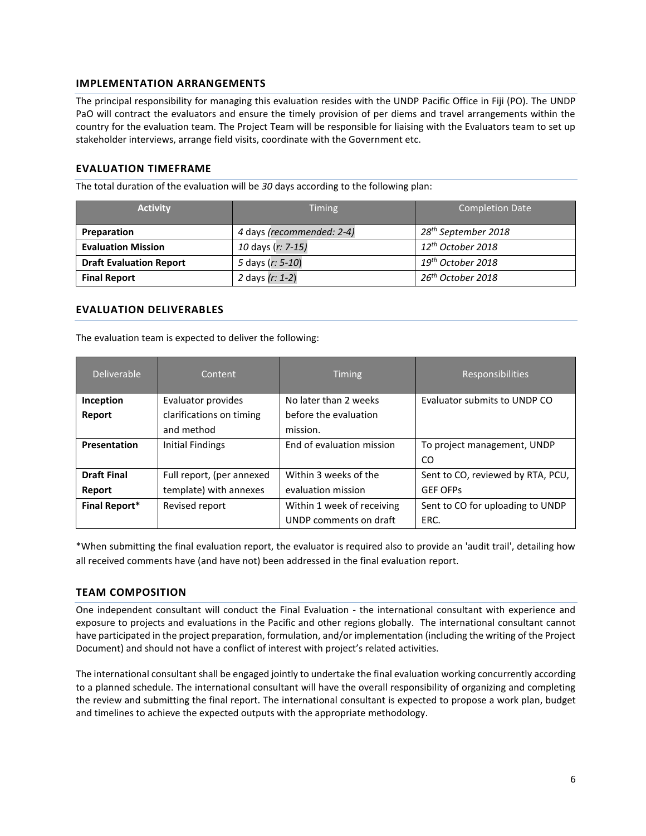#### **IMPLEMENTATION ARRANGEMENTS**

The principal responsibility for managing this evaluation resides with the UNDP Pacific Office in Fiji (PO). The UNDP PaO will contract the evaluators and ensure the timely provision of per diems and travel arrangements within the country for the evaluation team. The Project Team will be responsible for liaising with the Evaluators team to set up stakeholder interviews, arrange field visits, coordinate with the Government etc.

#### **EVALUATION TIMEFRAME**

The total duration of the evaluation will be *30* days according to the following plan:

| <b>Activity</b>                | <b>Timing</b>             | Completion Date                 |  |
|--------------------------------|---------------------------|---------------------------------|--|
| Preparation                    | 4 days (recommended: 2-4) | 28 <sup>th</sup> September 2018 |  |
| <b>Evaluation Mission</b>      | 10 days (r: 7-15)         | $12^{th}$ October 2018          |  |
| <b>Draft Evaluation Report</b> | 5 days (r: 5-10)          | $19th$ October 2018             |  |
| <b>Final Report</b>            | 2 days (r: 1-2)           | 26 <sup>th</sup> October 2018   |  |

#### **EVALUATION DELIVERABLES**

The evaluation team is expected to deliver the following:

| <b>Deliverable</b>   | Content                   | <b>Timing</b>              | <b>Responsibilities</b>           |
|----------------------|---------------------------|----------------------------|-----------------------------------|
| Inception            | Evaluator provides        | No later than 2 weeks      | Evaluator submits to UNDP CO      |
| Report               | clarifications on timing  | before the evaluation      |                                   |
|                      | and method                | mission.                   |                                   |
| Presentation         | Initial Findings          | End of evaluation mission  | To project management, UNDP       |
|                      |                           |                            | CO.                               |
| <b>Draft Final</b>   | Full report, (per annexed | Within 3 weeks of the      | Sent to CO, reviewed by RTA, PCU, |
| Report               | template) with annexes    | evaluation mission         | <b>GEF OFPS</b>                   |
| <b>Final Report*</b> | Revised report            | Within 1 week of receiving | Sent to CO for uploading to UNDP  |
|                      |                           | UNDP comments on draft     | ERC.                              |

\*When submitting the final evaluation report, the evaluator is required also to provide an 'audit trail', detailing how all received comments have (and have not) been addressed in the final evaluation report.

#### **TEAM COMPOSITION**

One independent consultant will conduct the Final Evaluation - the international consultant with experience and exposure to projects and evaluations in the Pacific and other regions globally. The international consultant cannot have participated in the project preparation, formulation, and/or implementation (including the writing of the Project Document) and should not have a conflict of interest with project's related activities.

The international consultant shall be engaged jointly to undertake the final evaluation working concurrently according to a planned schedule. The international consultant will have the overall responsibility of organizing and completing the review and submitting the final report. The international consultant is expected to propose a work plan, budget and timelines to achieve the expected outputs with the appropriate methodology.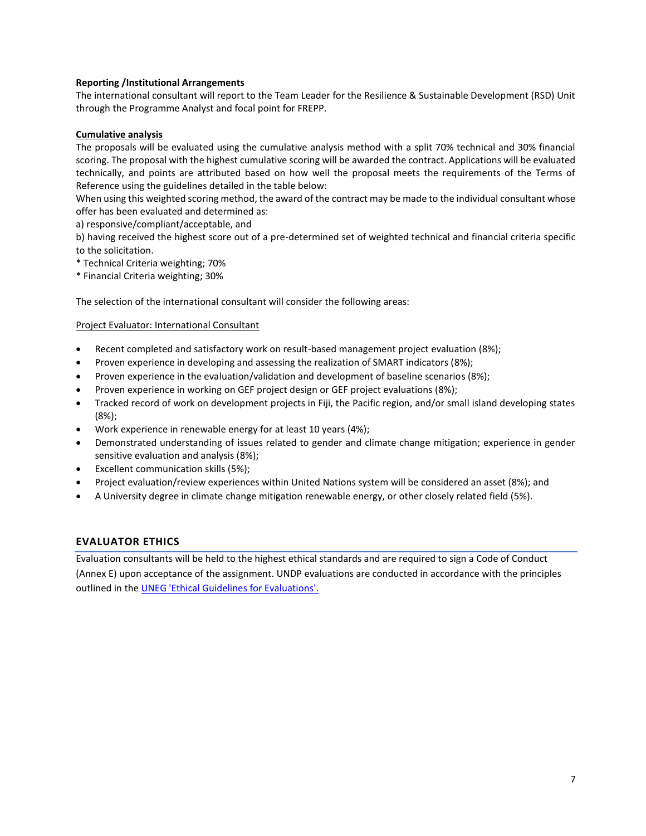#### **Reporting /Institutional Arrangements**

The international consultant will report to the Team Leader for the Resilience & Sustainable Development (RSD) Unit through the Programme Analyst and focal point for FREPP.

#### **Cumulative analysis**

The proposals will be evaluated using the cumulative analysis method with a split 70% technical and 30% financial scoring. The proposal with the highest cumulative scoring will be awarded the contract. Applications will be evaluated technically, and points are attributed based on how well the proposal meets the requirements of the Terms of Reference using the guidelines detailed in the table below:

When using this weighted scoring method, the award of the contract may be made to the individual consultant whose offer has been evaluated and determined as:

a) responsive/compliant/acceptable, and

b) having received the highest score out of a pre-determined set of weighted technical and financial criteria specific to the solicitation.

- \* Technical Criteria weighting; 70%
- \* Financial Criteria weighting; 30%

The selection of the international consultant will consider the following areas:

#### Project Evaluator: International Consultant

- Recent completed and satisfactory work on result-based management project evaluation (8%);
- Proven experience in developing and assessing the realization of SMART indicators (8%);
- Proven experience in the evaluation/validation and development of baseline scenarios (8%);
- Proven experience in working on GEF project design or GEF project evaluations (8%);
- Tracked record of work on development projects in Fiji, the Pacific region, and/or small island developing states (8%);
- Work experience in renewable energy for at least 10 years (4%);
- Demonstrated understanding of issues related to gender and climate change mitigation; experience in gender sensitive evaluation and analysis (8%);
- Excellent communication skills (5%);
- Project evaluation/review experiences within United Nations system will be considered an asset (8%); and
- A University degree in climate change mitigation renewable energy, or other closely related field (5%).

#### **EVALUATOR ETHICS**

Evaluation consultants will be held to the highest ethical standards and are required to sign a Code of Conduct (Annex E) upon acceptance of the assignment. UNDP evaluations are conducted in accordance with the principles outlined in the [UNEG 'Ethical Guidelines for Evaluations'.](http://www.unevaluation.org/ethicalguidelines)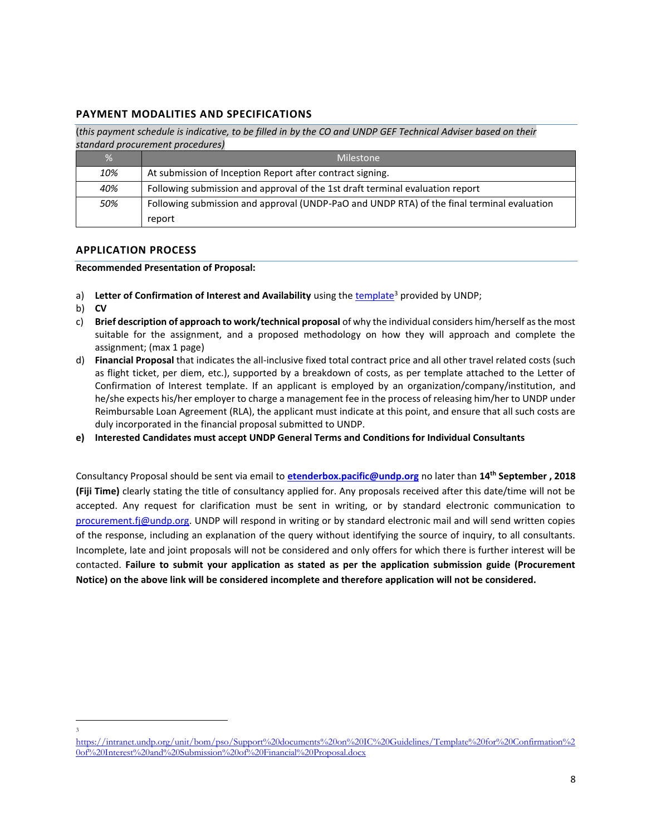## **PAYMENT MODALITIES AND SPECIFICATIONS**

(*this payment schedule is indicative, to be filled in by the CO and UNDP GEF Technical Adviser based on their standard procurement procedures)*

| %   | <b>Milestone</b>                                                                                     |
|-----|------------------------------------------------------------------------------------------------------|
| 10% | At submission of Inception Report after contract signing.                                            |
| 40% | Following submission and approval of the 1st draft terminal evaluation report                        |
| 50% | Following submission and approval (UNDP-PaO and UNDP RTA) of the final terminal evaluation<br>report |
|     |                                                                                                      |

#### **APPLICATION PROCESS**

#### **Recommended Presentation of Proposal:**

- a) Letter of Confirmation of Interest and Availability using the [template](https://intranet.undp.org/unit/bom/pso/Support%20documents%20on%20IC%20Guidelines/Template%20for%20Confirmation%20of%20Interest%20and%20Submission%20of%20Financial%20Proposal.docx)<sup>3</sup> provided by UNDP;
- b) **CV**
- c) **Brief description of approach to work/technical proposal** of why the individual considers him/herself as the most suitable for the assignment, and a proposed methodology on how they will approach and complete the assignment; (max 1 page)
- d) **Financial Proposal** that indicates the all-inclusive fixed total contract price and all other travel related costs (such as flight ticket, per diem, etc.), supported by a breakdown of costs, as per template attached to the Letter of Confirmation of Interest template. If an applicant is employed by an organization/company/institution, and he/she expects his/her employer to charge a management fee in the process of releasing him/her to UNDP under Reimbursable Loan Agreement (RLA), the applicant must indicate at this point, and ensure that all such costs are duly incorporated in the financial proposal submitted to UNDP.
- **e) Interested Candidates must accept UNDP General Terms and Conditions for Individual Consultants**

Consultancy Proposal should be sent via email to **[etenderbox.pacific@undp.org](file:///C:/Users/Vimal.Pillay/AppData/Local/Microsoft/Windows/AppData/Local/Microsoft/Windows/AppData/Local/Microsoft/Vimal.Pillay/Documents/Tabulation%20Templates/etenderbox.pacific@undp.org)** no later than **14 th September , 2018 (Fiji Time)** clearly stating the title of consultancy applied for. Any proposals received after this date/time will not be accepted. Any request for clarification must be sent in writing, or by standard electronic communication to [procurement.fj@undp.org.](mailto:procurement.fj@undp.org) UNDP will respond in writing or by standard electronic mail and will send written copies of the response, including an explanation of the query without identifying the source of inquiry, to all consultants. Incomplete, late and joint proposals will not be considered and only offers for which there is further interest will be contacted. **Failure to submit your application as stated as per the application submission guide (Procurement Notice) on the above link will be considered incomplete and therefore application will not be considered.**

<span id="page-7-0"></span> $\overline{a}$ 3

[https://intranet.undp.org/unit/bom/pso/Support%20documents%20on%20IC%20Guidelines/Template%20for%20Confirmation%2](https://intranet.undp.org/unit/bom/pso/Support%20documents%20on%20IC%20Guidelines/Template%20for%20Confirmation%20of%20Interest%20and%20Submission%20of%20Financial%20Proposal.docx) [0of%20Interest%20and%20Submission%20of%20Financial%20Proposal.docx](https://intranet.undp.org/unit/bom/pso/Support%20documents%20on%20IC%20Guidelines/Template%20for%20Confirmation%20of%20Interest%20and%20Submission%20of%20Financial%20Proposal.docx)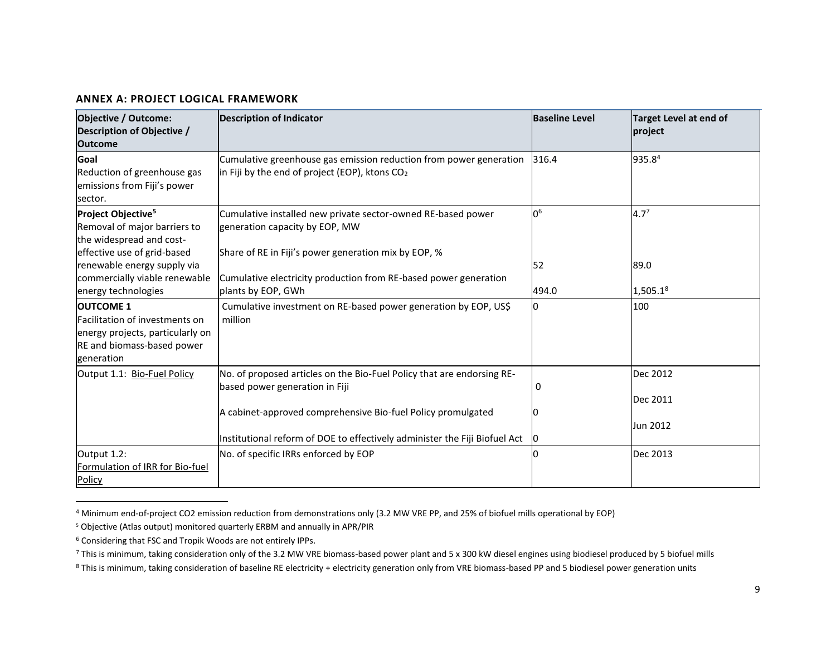#### **ANNEX A: PROJECT LOGICAL FRAMEWORK**

| <b>Objective / Outcome:</b><br>Description of Objective /<br><b>Outcome</b>                                                        | <b>Description of Indicator</b>                                                                                                                                          | <b>Baseline Level</b> | <b>Target Level at end of</b><br>project |
|------------------------------------------------------------------------------------------------------------------------------------|--------------------------------------------------------------------------------------------------------------------------------------------------------------------------|-----------------------|------------------------------------------|
| Goal<br>Reduction of greenhouse gas<br>emissions from Fiji's power<br>sector.                                                      | Cumulative greenhouse gas emission reduction from power generation<br>in Fiji by the end of project (EOP), ktons $CO2$                                                   | 316.4                 | 935.84                                   |
| Project Objective <sup>5</sup><br>Removal of major barriers to<br>the widespread and cost-<br>effective use of grid-based          | Cumulative installed new private sector-owned RE-based power<br>generation capacity by EOP, MW<br>Share of RE in Fiji's power generation mix by EOP, %                   | 0 <sup>6</sup>        | $4.7^{7}$                                |
| renewable energy supply via<br>commercially viable renewable<br>energy technologies                                                | Cumulative electricity production from RE-based power generation<br>plants by EOP, GWh                                                                                   | 52<br>494.0           | 89.0<br>$1,505.1^8$                      |
| <b>OUTCOME 1</b><br>Facilitation of investments on<br>energy projects, particularly on<br>RE and biomass-based power<br>generation | Cumulative investment on RE-based power generation by EOP, US\$<br>million                                                                                               |                       | 100                                      |
| Output 1.1: Bio-Fuel Policy                                                                                                        | No. of proposed articles on the Bio-Fuel Policy that are endorsing RE-<br>based power generation in Fiji<br>A cabinet-approved comprehensive Bio-fuel Policy promulgated | 0                     | Dec 2012<br>Dec 2011                     |
|                                                                                                                                    | Institutional reform of DOE to effectively administer the Fiji Biofuel Act                                                                                               |                       | Jun 2012                                 |
| Output 1.2:<br>Formulation of IRR for Bio-fuel<br>Policy                                                                           | No. of specific IRRs enforced by EOP                                                                                                                                     |                       | Dec 2013                                 |

<sup>4</sup> Minimum end-of-project CO2 emission reduction from demonstrations only (3.2 MW VRE PP, and 25% of biofuel mills operational by EOP)

 $\overline{\phantom{a}}$ 

<sup>5</sup> Objective (Atlas output) monitored quarterly ERBM and annually in APR/PIR

<sup>6</sup> Considering that FSC and Tropik Woods are not entirely IPPs.

<sup>7</sup> This is minimum, taking consideration only of the 3.2 MW VRE biomass-based power plant and 5 x 300 kW diesel engines using biodiesel produced by 5 biofuel mills

<sup>8</sup> This is minimum, taking consideration of baseline RE electricity + electricity generation only from VRE biomass-based PP and 5 biodiesel power generation units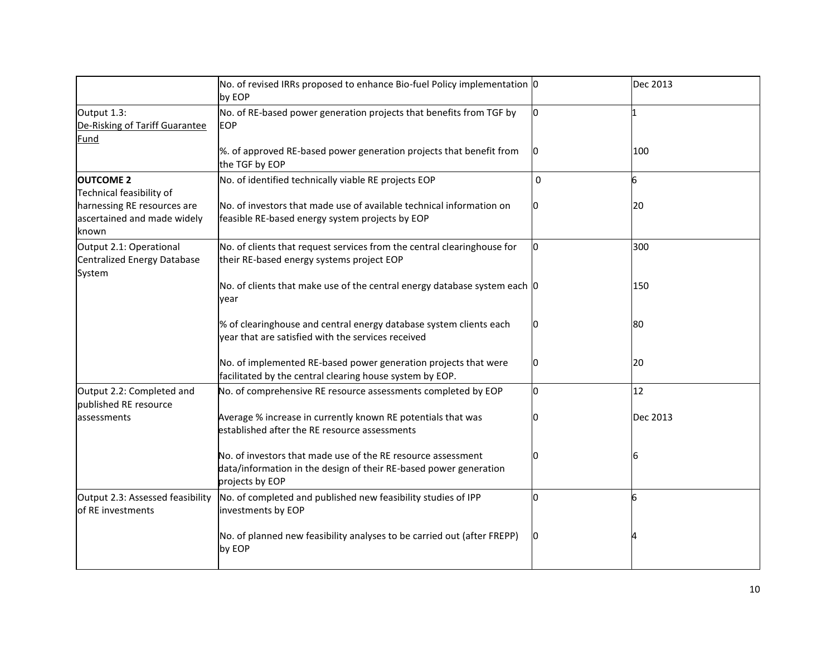|                                                                     | No. of revised IRRs proposed to enhance Bio-fuel Policy implementation 0<br>by EOP                                                                   |                | Dec 2013 |
|---------------------------------------------------------------------|------------------------------------------------------------------------------------------------------------------------------------------------------|----------------|----------|
| Output 1.3:<br>De-Risking of Tariff Guarantee<br>Fund               | No. of RE-based power generation projects that benefits from TGF by<br><b>EOP</b>                                                                    | lo.            |          |
|                                                                     | %. of approved RE-based power generation projects that benefit from<br>the TGF by EOP                                                                | 10             | 100      |
| <b>OUTCOME 2</b><br>Technical feasibility of                        | No. of identified technically viable RE projects EOP                                                                                                 | 0              | 6        |
| harnessing RE resources are<br>ascertained and made widely<br>known | No. of investors that made use of available technical information on<br>feasible RE-based energy system projects by EOP                              | $\overline{0}$ | 20       |
| Output 2.1: Operational<br>Centralized Energy Database<br>System    | No. of clients that request services from the central clearinghouse for<br>their RE-based energy systems project EOP                                 | 0              | 300      |
|                                                                     | No. of clients that make use of the central energy database system each  0<br>vear                                                                   |                | 150      |
|                                                                     | % of clearinghouse and central energy database system clients each<br>year that are satisfied with the services received                             | 10             | 80       |
|                                                                     | No. of implemented RE-based power generation projects that were<br>facilitated by the central clearing house system by EOP.                          | 0              | 20       |
| Output 2.2: Completed and<br>published RE resource                  | No. of comprehensive RE resource assessments completed by EOP                                                                                        | 0              | 12       |
| assessments                                                         | Average % increase in currently known RE potentials that was<br>established after the RE resource assessments                                        | I٥             | Dec 2013 |
|                                                                     | No. of investors that made use of the RE resource assessment<br>data/information in the design of their RE-based power generation<br>projects by EOP | 0              | 6        |
| Output 2.3: Assessed feasibility<br>of RE investments               | No. of completed and published new feasibility studies of IPP<br>investments by EOP                                                                  | $\Omega$       | 6        |
|                                                                     | No. of planned new feasibility analyses to be carried out (after FREPP)<br>by EOP                                                                    | $\overline{0}$ |          |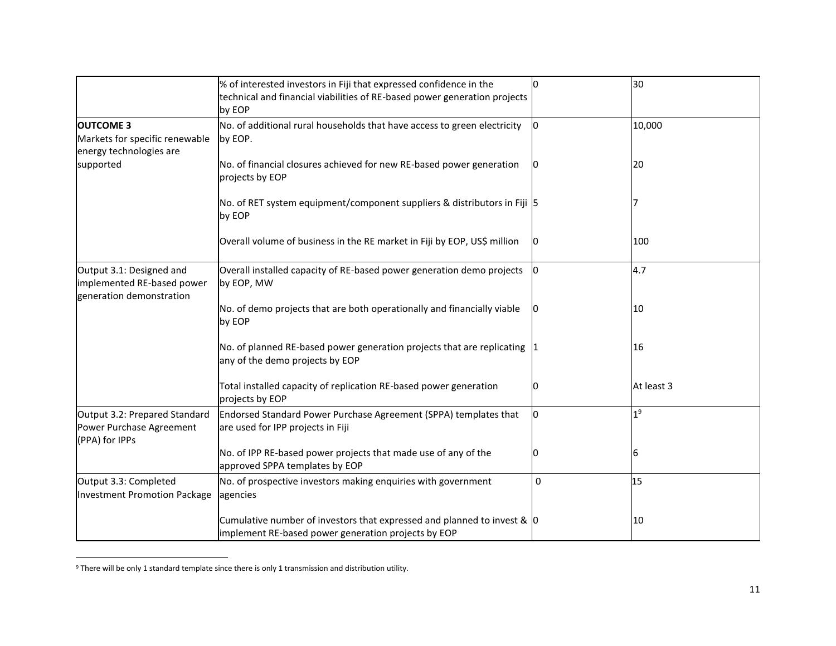|                                                                                    | % of interested investors in Fiji that expressed confidence in the<br>technical and financial viabilities of RE-based power generation projects<br>by EOP | n.       | 30             |
|------------------------------------------------------------------------------------|-----------------------------------------------------------------------------------------------------------------------------------------------------------|----------|----------------|
| <b>OUTCOME 3</b><br>Markets for specific renewable<br>energy technologies are      | No. of additional rural households that have access to green electricity<br>by EOP.                                                                       | 0        | 10,000         |
| supported                                                                          | No. of financial closures achieved for new RE-based power generation<br>projects by EOP                                                                   | IN.      | 20             |
|                                                                                    | No. of RET system equipment/component suppliers & distributors in Fiji 5<br>by EOP                                                                        |          |                |
|                                                                                    | Overall volume of business in the RE market in Fiji by EOP, US\$ million                                                                                  | n        | 100            |
| Output 3.1: Designed and<br>implemented RE-based power<br>generation demonstration | Overall installed capacity of RE-based power generation demo projects<br>by EOP, MW                                                                       | 0        | 4.7            |
|                                                                                    | No. of demo projects that are both operationally and financially viable<br>by EOP                                                                         |          | 10             |
|                                                                                    | No. of planned RE-based power generation projects that are replicating $ 1 $<br>any of the demo projects by EOP                                           |          | 16             |
|                                                                                    | Total installed capacity of replication RE-based power generation<br>projects by EOP                                                                      | 0        | At least 3     |
| Output 3.2: Prepared Standard<br>Power Purchase Agreement<br>(PPA) for IPPs        | Endorsed Standard Power Purchase Agreement (SPPA) templates that<br>are used for IPP projects in Fiji                                                     | O        | 1 <sup>9</sup> |
|                                                                                    | No. of IPP RE-based power projects that made use of any of the<br>approved SPPA templates by EOP                                                          | 0        | 6              |
| Output 3.3: Completed<br>Investment Promotion Package                              | No. of prospective investors making enquiries with government<br>agencies                                                                                 | $\Omega$ | 15             |
|                                                                                    | Cumulative number of investors that expressed and planned to invest & $ 0\rangle$<br>implement RE-based power generation projects by EOP                  |          | 10             |

 $9$  There will be only 1 standard template since there is only 1 transmission and distribution utility.

 $\overline{\phantom{a}}$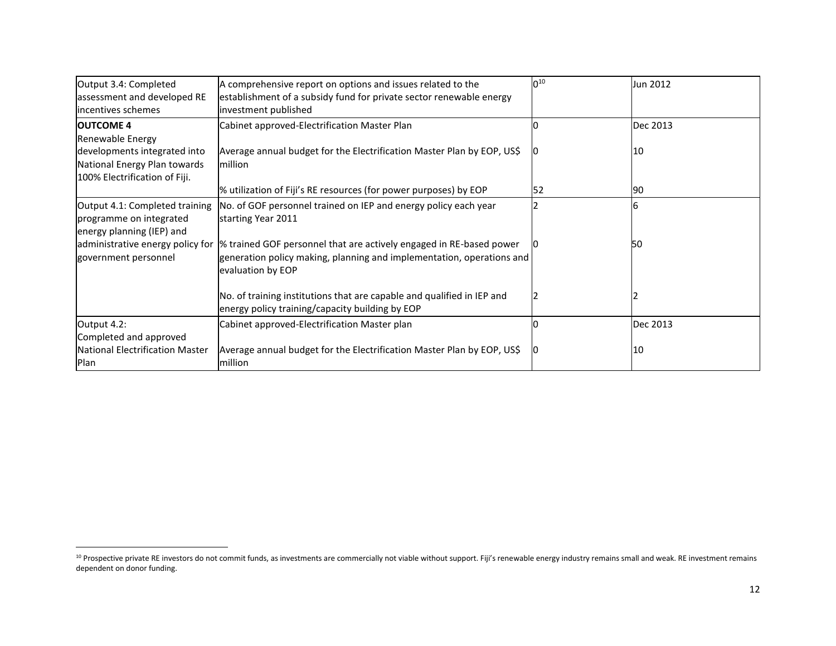| Output 3.4: Completed<br>assessment and developed RE<br>incentives schemes                                        | A comprehensive report on options and issues related to the<br>establishment of a subsidy fund for private sector renewable energy<br>investment published        | $0^{10}$ | Jun 2012 |
|-------------------------------------------------------------------------------------------------------------------|-------------------------------------------------------------------------------------------------------------------------------------------------------------------|----------|----------|
| <b>OUTCOME 4</b>                                                                                                  | Cabinet approved-Electrification Master Plan                                                                                                                      |          | Dec 2013 |
| Renewable Energy<br>developments integrated into<br>National Energy Plan towards<br>100% Electrification of Fiji. | Average annual budget for the Electrification Master Plan by EOP, US\$<br>million                                                                                 |          | 10       |
|                                                                                                                   | % utilization of Fiji's RE resources (for power purposes) by EOP                                                                                                  | 52       | 90       |
| Output 4.1: Completed training<br>programme on integrated<br>energy planning (IEP) and                            | No. of GOF personnel trained on IEP and energy policy each year<br>starting Year 2011                                                                             |          |          |
| administrative energy policy for<br>government personnel                                                          | % trained GOF personnel that are actively engaged in RE-based power<br>generation policy making, planning and implementation, operations and<br>evaluation by EOP |          | 50       |
|                                                                                                                   | No. of training institutions that are capable and qualified in IEP and<br>energy policy training/capacity building by EOP                                         |          |          |
| Output 4.2:                                                                                                       | Cabinet approved-Electrification Master plan                                                                                                                      |          | Dec 2013 |
| Completed and approved                                                                                            |                                                                                                                                                                   |          |          |
| National Electrification Master<br>Plan                                                                           | Average annual budget for the Electrification Master Plan by EOP, US\$<br>million                                                                                 | ιU       | 10       |

l

<sup>&</sup>lt;sup>10</sup> Prospective private RE investors do not commit funds, as investments are commercially not viable without support. Fiji's renewable energy industry remains small and weak. RE investment remains dependent on donor funding.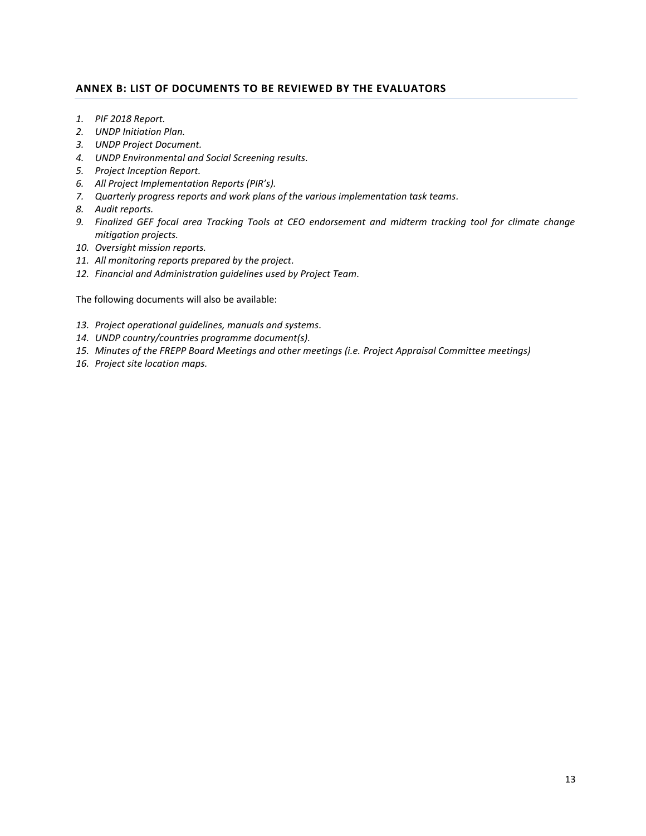## <span id="page-12-0"></span>**ANNEX B: LIST OF DOCUMENTS TO BE REVIEWED BY THE EVALUATORS**

- *1. PIF 2018 Report.*
- *2. UNDP Initiation Plan.*
- *3. UNDP Project Document.*
- *4. UNDP Environmental and Social Screening results.*
- *5. Project Inception Report.*
- *6. All Project Implementation Reports (PIR's).*
- *7. Quarterly progress reports and work plans of the various implementation task teams.*
- *8. Audit reports.*
- *9. Finalized GEF focal area Tracking Tools at CEO endorsement and midterm tracking tool for climate change mitigation projects.*
- *10. Oversight mission reports.*
- *11. All monitoring reports prepared by the project.*
- *12. Financial and Administration guidelines used by Project Team.*

The following documents will also be available:

- *13. Project operational guidelines, manuals and systems.*
- *14. UNDP country/countries programme document(s).*
- *15. Minutes of the FREPP Board Meetings and other meetings (i.e. Project Appraisal Committee meetings)*
- *16. Project site location maps.*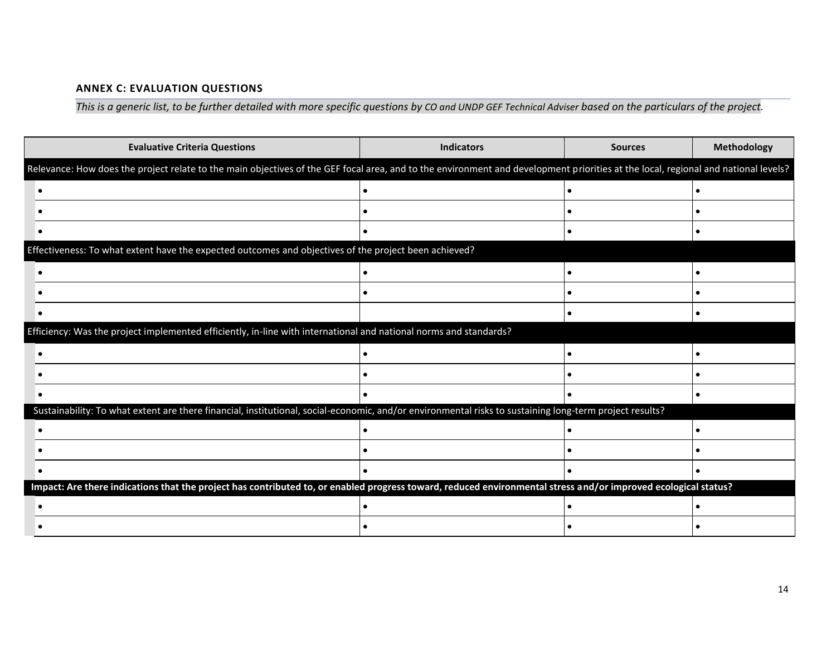# **ANNEX C: EVALUATION QUESTIONS**

*This is a generic list, to be further detailed with more specific questions by CO and UNDP GEF Technical Adviser based on the particulars of the project.*

<span id="page-13-0"></span>

| <b>Evaluative Criteria Questions</b>                                                                                                                                               | <b>Indicators</b> | <b>Sources</b> | Methodology |
|------------------------------------------------------------------------------------------------------------------------------------------------------------------------------------|-------------------|----------------|-------------|
| Relevance: How does the project relate to the main objectives of the GEF focal area, and to the environment and development priorities at the local, regional and national levels? |                   |                |             |
|                                                                                                                                                                                    |                   |                | $\bullet$   |
|                                                                                                                                                                                    |                   |                |             |
|                                                                                                                                                                                    |                   |                |             |
| Effectiveness: To what extent have the expected outcomes and objectives of the project been achieved?                                                                              |                   |                |             |
|                                                                                                                                                                                    |                   |                |             |
|                                                                                                                                                                                    |                   |                |             |
|                                                                                                                                                                                    |                   |                |             |
| Efficiency: Was the project implemented efficiently, in-line with international and national norms and standards?                                                                  |                   |                |             |
|                                                                                                                                                                                    |                   |                | $\bullet$   |
|                                                                                                                                                                                    |                   |                |             |
|                                                                                                                                                                                    |                   |                | $\bullet$   |
| Sustainability: To what extent are there financial, institutional, social-economic, and/or environmental risks to sustaining long-term project results?                            |                   |                |             |
|                                                                                                                                                                                    |                   |                |             |
|                                                                                                                                                                                    |                   |                | $\bullet$   |
|                                                                                                                                                                                    |                   |                |             |
| Impact: Are there indications that the project has contributed to, or enabled progress toward, reduced environmental stress and/or improved ecological status?                     |                   |                |             |
|                                                                                                                                                                                    |                   |                | $\bullet$   |
|                                                                                                                                                                                    |                   |                |             |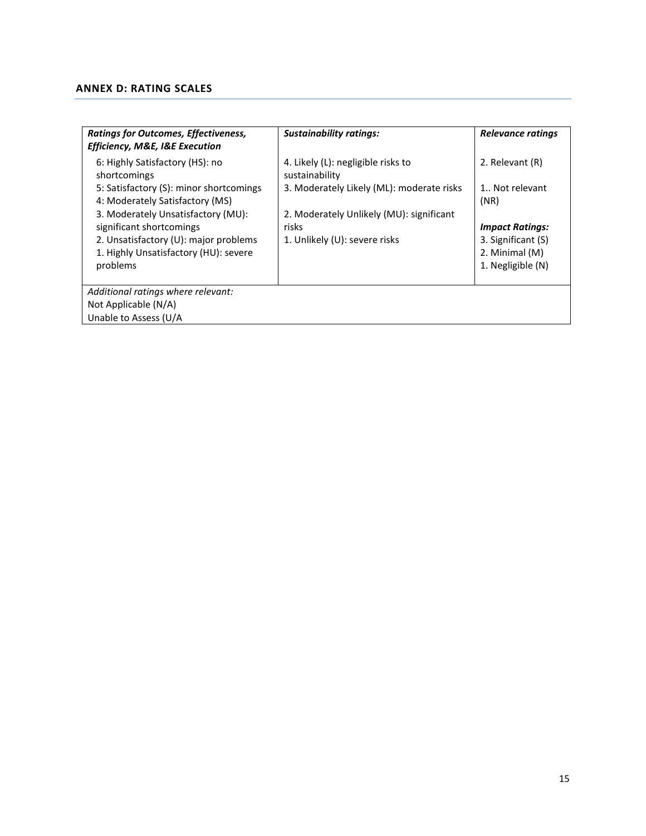# <span id="page-14-0"></span>**ANNEX D: RATING SCALES**

| <b>Ratings for Outcomes, Effectiveness,</b><br>Efficiency, M&E, I&E Execution  | <b>Sustainability ratings:</b>                       | Relevance ratings                    |
|--------------------------------------------------------------------------------|------------------------------------------------------|--------------------------------------|
| 6: Highly Satisfactory (HS): no<br>shortcomings                                | 4. Likely (L): negligible risks to<br>sustainability | 2. Relevant (R)                      |
| 5: Satisfactory (S): minor shortcomings<br>4: Moderately Satisfactory (MS)     | 3. Moderately Likely (ML): moderate risks            | 1 Not relevant<br>(NR)               |
| 3. Moderately Unsatisfactory (MU):<br>significant shortcomings                 | 2. Moderately Unlikely (MU): significant<br>risks    | <b>Impact Ratings:</b>               |
| 2. Unsatisfactory (U): major problems<br>1. Highly Unsatisfactory (HU): severe | 1. Unlikely (U): severe risks                        | 3. Significant (S)<br>2. Minimal (M) |
| problems                                                                       |                                                      | 1. Negligible (N)                    |
| Additional ratings where relevant:                                             |                                                      |                                      |
| Not Applicable (N/A)                                                           |                                                      |                                      |
| Unable to Assess (U/A                                                          |                                                      |                                      |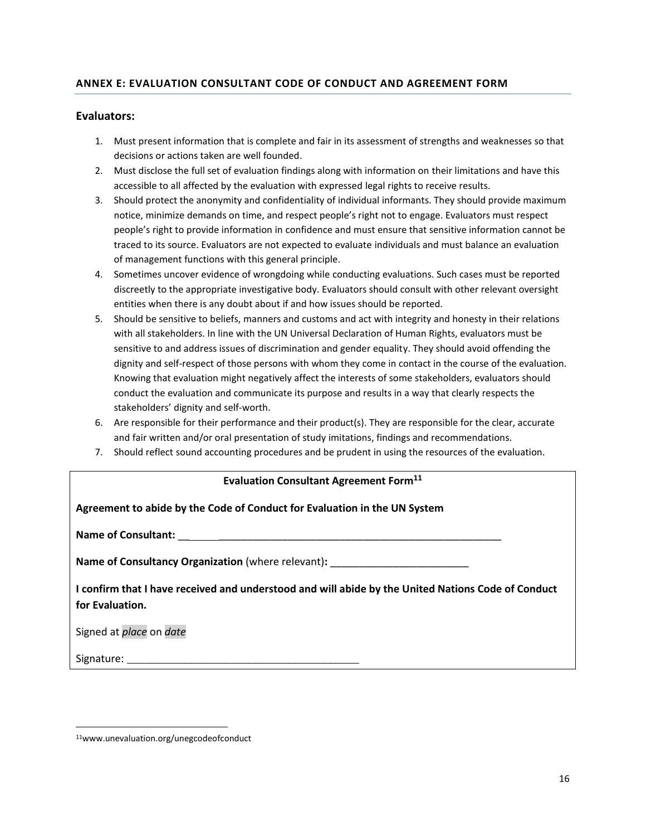# **ANNEX E: EVALUATION CONSULTANT CODE OF CONDUCT AND AGREEMENT FORM**

## **Evaluators:**

- 1. Must present information that is complete and fair in its assessment of strengths and weaknesses so that decisions or actions taken are well founded.
- 2. Must disclose the full set of evaluation findings along with information on their limitations and have this accessible to all affected by the evaluation with expressed legal rights to receive results.
- 3. Should protect the anonymity and confidentiality of individual informants. They should provide maximum notice, minimize demands on time, and respect people's right not to engage. Evaluators must respect people's right to provide information in confidence and must ensure that sensitive information cannot be traced to its source. Evaluators are not expected to evaluate individuals and must balance an evaluation of management functions with this general principle.
- 4. Sometimes uncover evidence of wrongdoing while conducting evaluations. Such cases must be reported discreetly to the appropriate investigative body. Evaluators should consult with other relevant oversight entities when there is any doubt about if and how issues should be reported.
- 5. Should be sensitive to beliefs, manners and customs and act with integrity and honesty in their relations with all stakeholders. In line with the UN Universal Declaration of Human Rights, evaluators must be sensitive to and address issues of discrimination and gender equality. They should avoid offending the dignity and self-respect of those persons with whom they come in contact in the course of the evaluation. Knowing that evaluation might negatively affect the interests of some stakeholders, evaluators should conduct the evaluation and communicate its purpose and results in a way that clearly respects the stakeholders' dignity and self-worth.
- 6. Are responsible for their performance and their product(s). They are responsible for the clear, accurate and fair written and/or oral presentation of study imitations, findings and recommendations.
- 7. Should reflect sound accounting procedures and be prudent in using the resources of the evaluation.

# **Evaluation Consultant Agreement Form<sup>11</sup> Agreement to abide by the Code of Conduct for Evaluation in the UN System Name of Consultant:** \_\_ \_\_\_\_\_\_\_\_\_\_\_\_\_\_\_\_\_\_\_\_\_\_\_\_\_\_\_\_\_\_\_\_\_\_\_\_\_\_\_\_\_\_\_\_\_\_\_\_\_ **Name of Consultancy Organization** (where relevant): **I confirm that I have received and understood and will abide by the United Nations Code of Conduct for Evaluation.**  Signed at *place* on *date* Signature: \_\_\_\_\_\_\_\_\_\_\_\_\_\_\_\_\_\_\_\_\_\_\_\_\_\_\_\_\_\_\_\_\_\_\_\_\_\_\_\_

 $\overline{\phantom{a}}$ 

<sup>11</sup>www.unevaluation.org/unegcodeofconduct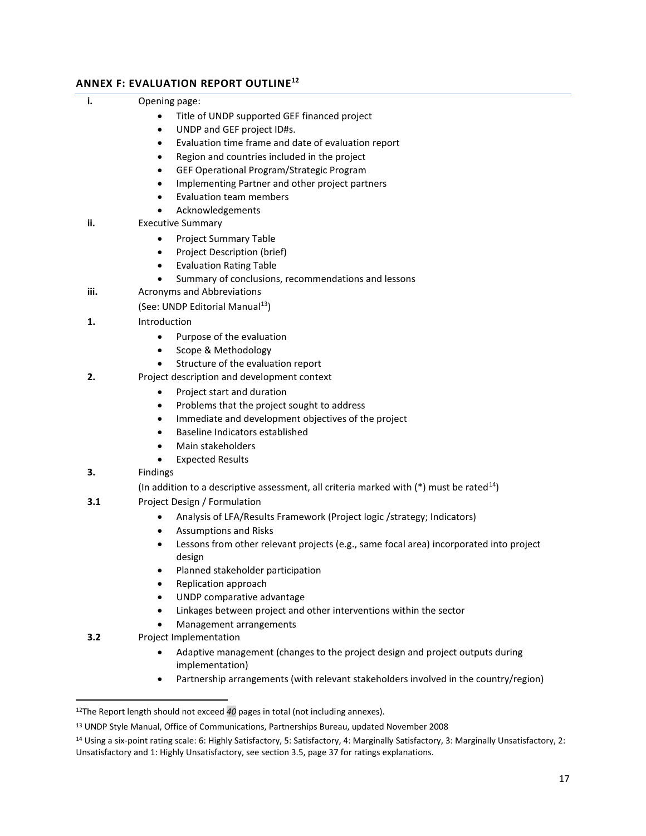# **ANNEX F: EVALUATION REPORT OUTLINE<sup>12</sup>**

|  | Opening page: |
|--|---------------|
|--|---------------|

- Title of UNDP supported GEF financed project
- UNDP and GEF project ID#s.
- Evaluation time frame and date of evaluation report
- Region and countries included in the project
- GEF Operational Program/Strategic Program
- Implementing Partner and other project partners
- Evaluation team members
- Acknowledgements
- **ii.** Executive Summary
	- Project Summary Table
	- Project Description (brief)
	- Evaluation Rating Table
	- Summary of conclusions, recommendations and lessons
- **iii.** Acronyms and Abbreviations

(See: UNDP Editorial Manual<sup>13</sup>)

- **1.** Introduction
	- Purpose of the evaluation
	- Scope & Methodology
	- Structure of the evaluation report
- **2.** Project description and development context
	- Project start and duration
	- Problems that the project sought to address
	- Immediate and development objectives of the project
	- Baseline Indicators established
	- Main stakeholders
	- Expected Results
- **3.** Findings

 $\overline{a}$ 

- (In addition to a descriptive assessment, all criteria marked with  $(*)$  must be rated<sup>14</sup>)
- **3.1** Project Design / Formulation
	- Analysis of LFA/Results Framework (Project logic /strategy; Indicators)
	- Assumptions and Risks
	- Lessons from other relevant projects (e.g., same focal area) incorporated into project design
	- Planned stakeholder participation
	- Replication approach
	- UNDP comparative advantage
	- Linkages between project and other interventions within the sector
	- Management arrangements
- **3.2** Project Implementation
	- Adaptive management (changes to the project design and project outputs during implementation)
	- Partnership arrangements (with relevant stakeholders involved in the country/region)

<sup>12</sup>The Report length should not exceed *40* pages in total (not including annexes).

<sup>13</sup> UNDP Style Manual, Office of Communications, Partnerships Bureau, updated November 2008

<sup>14</sup> Using a six-point rating scale: 6: Highly Satisfactory, 5: Satisfactory, 4: Marginally Satisfactory, 3: Marginally Unsatisfactory, 2: Unsatisfactory and 1: Highly Unsatisfactory, see section 3.5, page 37 for ratings explanations.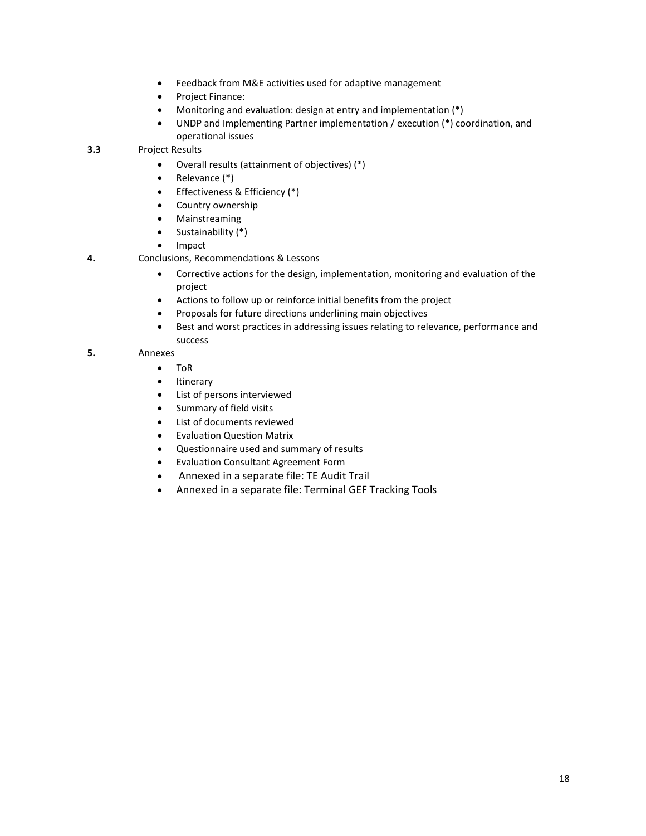- Feedback from M&E activities used for adaptive management
- Project Finance:
- Monitoring and evaluation: design at entry and implementation (\*)
- UNDP and Implementing Partner implementation / execution (\*) coordination, and operational issues

**3.3** Project Results

- Overall results (attainment of objectives) (\*)
- Relevance (\*)
- Effectiveness & Efficiency (\*)
- Country ownership
- Mainstreaming
- Sustainability (\*)
- Impact
- **4.** Conclusions, Recommendations & Lessons
	- Corrective actions for the design, implementation, monitoring and evaluation of the project
	- Actions to follow up or reinforce initial benefits from the project
	- Proposals for future directions underlining main objectives
	- Best and worst practices in addressing issues relating to relevance, performance and success

#### **5.** Annexes

- ToR
- **Itinerary**
- List of persons interviewed
- Summary of field visits
- List of documents reviewed
- Evaluation Question Matrix
- Questionnaire used and summary of results
- Evaluation Consultant Agreement Form
- Annexed in a separate file: TE Audit Trail
- Annexed in a separate file: Terminal GEF Tracking Tools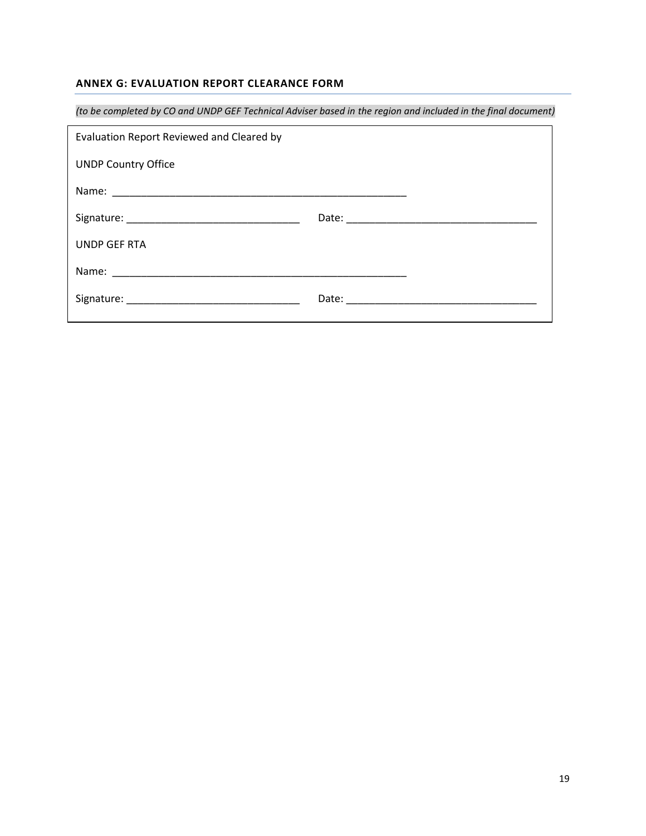# **ANNEX G: EVALUATION REPORT CLEARANCE FORM**

| (to be completed by CO and UNDP GEF Technical Adviser based in the region and included in the final document) |  |  |
|---------------------------------------------------------------------------------------------------------------|--|--|
| Evaluation Report Reviewed and Cleared by                                                                     |  |  |
| <b>UNDP Country Office</b>                                                                                    |  |  |
|                                                                                                               |  |  |
|                                                                                                               |  |  |
| UNDP GEF RTA                                                                                                  |  |  |
|                                                                                                               |  |  |
|                                                                                                               |  |  |